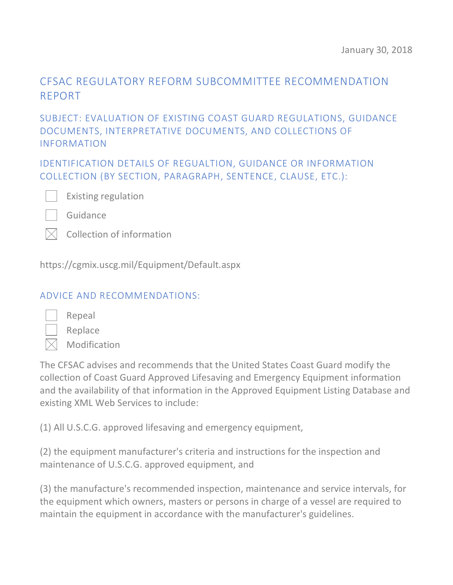# CFSAC REGULATORY REFORM SUBCOMMITTEE RECOMMENDATION REPORT

### SUBJECT: EVALUATION OF EXISTING COAST GUARD REGULATIONS, GUIDANCE DOCUMENTS, INTERPRETATIVE DOCUMENTS, AND COLLECTIONS OF INFORMATION

IDENTIFICATION DETAILS OF REGUALTION, GUIDANCE OR INFORMATION COLLECTION (BY SECTION, PARAGRAPH, SENTENCE, CLAUSE, ETC.):



Existing regulation

Guidance

|  | $\boxtimes$ Collection of information |  |  |
|--|---------------------------------------|--|--|
|--|---------------------------------------|--|--|

https://cgmix.uscg.mil/Equipment/Default.aspx

#### ADVICE AND RECOMMENDATIONS:

Replace Modification

Repeal

The CFSAC advises and recommends that the United States Coast Guard modify the collection of Coast Guard Approved Lifesaving and Emergency Equipment information and the availability of that information in the Approved Equipment Listing Database and existing XML Web Services to include:

(1) All U.S.C.G. approved lifesaving and emergency equipment,

(2) the equipment manufacturer's criteria and instructions for the inspection and maintenance of U.S.C.G. approved equipment, and

(3) the manufacture's recommended inspection, maintenance and service intervals, for the equipment which owners, masters or persons in charge of a vessel are required to maintain the equipment in accordance with the manufacturer's guidelines.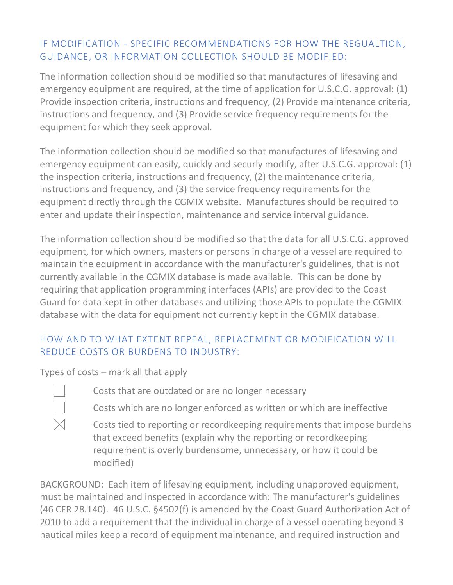# IF MODIFICATION - SPECIFIC RECOMMENDATIONS FOR HOW THE REGUALTION, GUIDANCE, OR INFORMATION COLLECTION SHOULD BE MODIFIED:

The information collection should be modified so that manufactures of lifesaving and emergency equipment are required, at the time of application for U.S.C.G. approval: (1) Provide inspection criteria, instructions and frequency, (2) Provide maintenance criteria, instructions and frequency, and (3) Provide service frequency requirements for the equipment for which they seek approval.

The information collection should be modified so that manufactures of lifesaving and emergency equipment can easily, quickly and securly modify, after U.S.C.G. approval: (1) the inspection criteria, instructions and frequency, (2) the maintenance criteria, instructions and frequency, and (3) the service frequency requirements for the equipment directly through the CGMIX website. Manufactures should be required to enter and update their inspection, maintenance and service interval guidance.

The information collection should be modified so that the data for all U.S.C.G. approved equipment, for which owners, masters or persons in charge of a vessel are required to maintain the equipment in accordance with the manufacturer's guidelines, that is not currently available in the CGMIX database is made available. This can be done by requiring that application programming interfaces (APIs) are provided to the Coast Guard for data kept in other databases and utilizing those APIs to populate the CGMIX database with the data for equipment not currently kept in the CGMIX database.

## HOW AND TO WHAT EXTENT REPEAL, REPLACEMENT OR MODIFICATION WILL REDUCE COSTS OR BURDENS TO INDUSTRY:

Types of costs – mark all that apply

- Costs that are outdated or are no longer necessary
- Costs which are no longer enforced as written or which are ineffective
- Costs tied to reporting or recordkeeping requirements that impose burdens that exceed benefits (explain why the reporting or recordkeeping requirement is overly burdensome, unnecessary, or how it could be modified)

BACKGROUND: Each item of lifesaving equipment, including unapproved equipment, must be maintained and inspected in accordance with: The manufacturer's guidelines (46 CFR 28.140). 46 U.S.C. §4502(f) is amended by the Coast Guard Authorization Act of 2010 to add a requirement that the individual in charge of a vessel operating beyond 3 nautical miles keep a record of equipment maintenance, and required instruction and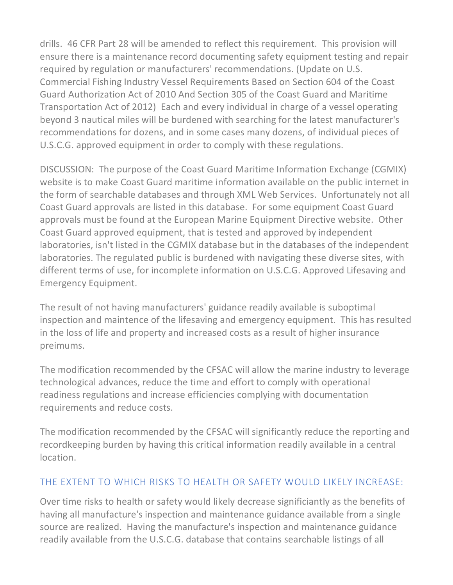drills. 46 CFR Part 28 will be amended to reflect this requirement. This provision will ensure there is a maintenance record documenting safety equipment testing and repair required by regulation or manufacturers' recommendations. (Update on U.S. Commercial Fishing Industry Vessel Requirements Based on Section 604 of the Coast Guard Authorization Act of 2010 And Section 305 of the Coast Guard and Maritime Transportation Act of 2012) Each and every individual in charge of a vessel operating beyond 3 nautical miles will be burdened with searching for the latest manufacturer's recommendations for dozens, and in some cases many dozens, of individual pieces of U.S.C.G. approved equipment in order to comply with these regulations.

DISCUSSION: The purpose of the Coast Guard Maritime Information Exchange (CGMIX) website is to make Coast Guard maritime information available on the public internet in the form of searchable databases and through XML Web Services. Unfortunately not all Coast Guard approvals are listed in this database. For some equipment Coast Guard approvals must be found at the European Marine Equipment Directive website. Other Coast Guard approved equipment, that is tested and approved by independent laboratories, isn't listed in the CGMIX database but in the databases of the independent laboratories. The regulated public is burdened with navigating these diverse sites, with different terms of use, for incomplete information on U.S.C.G. Approved Lifesaving and Emergency Equipment.

The result of not having manufacturers' guidance readily available is suboptimal inspection and maintence of the lifesaving and emergency equipment. This has resulted in the loss of life and property and increased costs as a result of higher insurance preimums.

The modification recommended by the CFSAC will allow the marine industry to leverage technological advances, reduce the time and effort to comply with operational readiness regulations and increase efficiencies complying with documentation requirements and reduce costs.

The modification recommended by the CFSAC will significantly reduce the reporting and recordkeeping burden by having this critical information readily available in a central location.

#### THE EXTENT TO WHICH RISKS TO HEALTH OR SAFETY WOULD LIKELY INCREASE:

Over time risks to health or safety would likely decrease significiantly as the benefits of having all manufacture's inspection and maintenance guidance available from a single source are realized. Having the manufacture's inspection and maintenance guidance readily available from the U.S.C.G. database that contains searchable listings of all